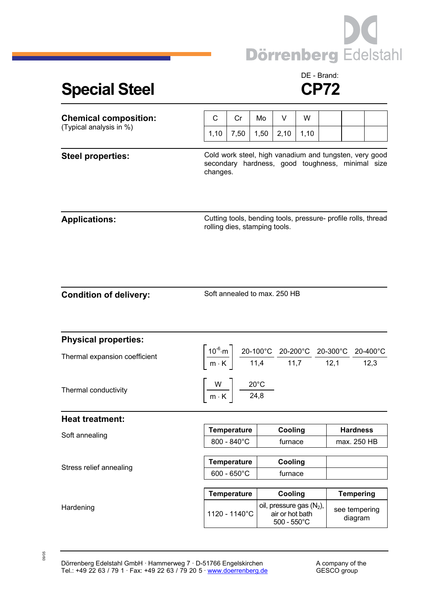

## **Special Steel CP72**

## DE - Brand:

| <b>Chemical composition:</b><br>(Typical analysis in %) | C                                                                                                                                                                                                                                            | Cr                    | Mo      | V                                                                       | W    |             |                          |  |  |
|---------------------------------------------------------|----------------------------------------------------------------------------------------------------------------------------------------------------------------------------------------------------------------------------------------------|-----------------------|---------|-------------------------------------------------------------------------|------|-------------|--------------------------|--|--|
|                                                         | 1,10                                                                                                                                                                                                                                         | 7,50                  | 1,50    | 2,10                                                                    | 1,10 |             |                          |  |  |
| <b>Steel properties:</b>                                | Cold work steel, high vanadium and tungsten, very good<br>secondary hardness, good toughness, minimal size<br>changes.                                                                                                                       |                       |         |                                                                         |      |             |                          |  |  |
| <b>Applications:</b>                                    | Cutting tools, bending tools, pressure- profile rolls, thread<br>rolling dies, stamping tools.                                                                                                                                               |                       |         |                                                                         |      |             |                          |  |  |
| <b>Condition of delivery:</b>                           | Soft annealed to max. 250 HB                                                                                                                                                                                                                 |                       |         |                                                                         |      |             |                          |  |  |
| <b>Physical properties:</b>                             |                                                                                                                                                                                                                                              |                       |         |                                                                         |      |             |                          |  |  |
| Thermal expansion coefficient                           | $\left[\frac{10^{-6} \text{ m}}{\text{m} \cdot \text{K}}\right] \frac{\text{20-100}^{\circ}\text{C}}{11,4} \frac{\text{20-200}^{\circ}\text{C}}{11,7} \frac{\text{20-300}^{\circ}\text{C}}{12,1} \frac{\text{20-400}^{\circ}\text{C}}{12,3}$ |                       |         |                                                                         |      |             |                          |  |  |
| Thermal conductivity                                    | $\left\lceil \frac{W}{m\cdot K} \right\rceil \frac{20^{\circ}C}{24,8}$                                                                                                                                                                       |                       |         |                                                                         |      |             |                          |  |  |
| <b>Heat treatment:</b>                                  |                                                                                                                                                                                                                                              |                       |         |                                                                         |      |             |                          |  |  |
| Soft annealing                                          |                                                                                                                                                                                                                                              | Temperature           |         | Cooling                                                                 |      |             | <b>Hardness</b>          |  |  |
|                                                         | 800 - 840°C                                                                                                                                                                                                                                  |                       | furnace |                                                                         |      | max. 250 HB |                          |  |  |
| Stress relief annealing                                 |                                                                                                                                                                                                                                              | <b>Temperature</b>    |         | Cooling                                                                 |      |             |                          |  |  |
|                                                         |                                                                                                                                                                                                                                              | $600 - 650^{\circ}$ C |         | furnace                                                                 |      |             |                          |  |  |
|                                                         |                                                                                                                                                                                                                                              | <b>Temperature</b>    |         | Cooling                                                                 |      |             | <b>Tempering</b>         |  |  |
| Hardening                                               |                                                                                                                                                                                                                                              | 1120 - 1140°C         |         | oil, pressure gas $(N_2)$ ,<br>air or hot bath<br>$500 - 550^{\circ}$ C |      |             | see tempering<br>diagram |  |  |

09/05